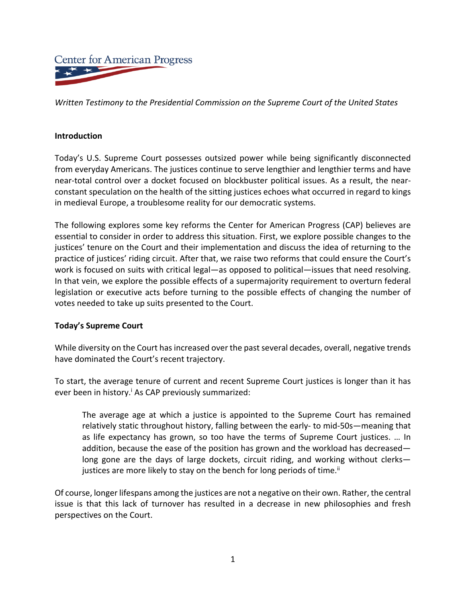

*Written Testimony to the Presidential Commission on the Supreme Court of the United States*

#### **Introduction**

Today's U.S. Supreme Court possesses outsized power while being significantly disconnected from everyday Americans. The justices continue to serve lengthier and lengthier terms and have near-total control over a docket focused on blockbuster political issues. As a result, the nearconstant speculation on the health of the sitting justices echoes what occurred in regard to kings in medieval Europe, a troublesome reality for our democratic systems.

The following explores some key reforms the Center for American Progress (CAP) believes are essential to consider in order to address this situation. First, we explore possible changes to the justices' tenure on the Court and their implementation and discuss the idea of returning to the practice of justices' riding circuit. After that, we raise two reforms that could ensure the Court's work is focused on suits with critical legal—as opposed to political—issues that need resolving. In that vein, we explore the possible effects of a supermajority requirement to overturn federal legislation or executive acts before turning to the possible effects of changing the number of votes needed to take up suits presented to the Court.

## **Today's Supreme Court**

While diversity on the Court has increased over the past several decades, overall, negative trends have dominated the Court's recent trajectory.

To start, the average tenure of current and recent Supreme Court justices is longer than it has ever been in history.<sup>i</sup> As CAP previously summarized:

The average age at which a justice is appointed to the Supreme Court has remained relatively static throughout history, falling between the early- to mid-50s—meaning that as life expectancy has grown, so too have the terms of Supreme Court justices. … In addition, because the ease of the position has grown and the workload has decreased long gone are the days of large dockets, circuit riding, and working without clerks justices are more likely to stay on the bench for long periods of time.<sup>ii</sup>

Of course, longer lifespans among the justices are not a negative on their own. Rather, the central issue is that this lack of turnover has resulted in a decrease in new philosophies and fresh perspectives on the Court.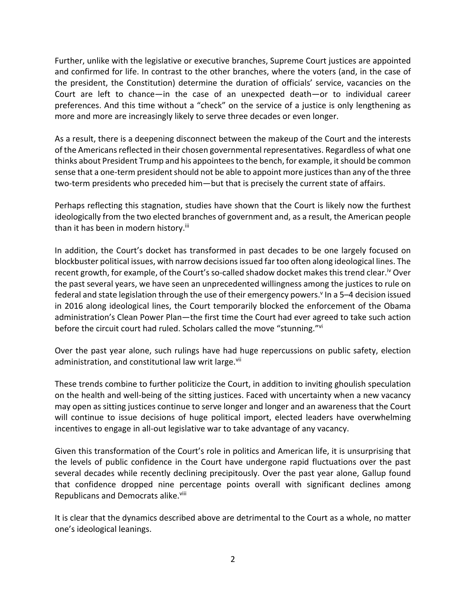Further, unlike with the legislative or executive branches, Supreme Court justices are appointed and confirmed for life. In contrast to the other branches, where the voters (and, in the case of the president, the Constitution) determine the duration of officials' service, vacancies on the Court are left to chance—in the case of an unexpected death—or to individual career preferences. And this time without a "check" on the service of a justice is only lengthening as more and more are increasingly likely to serve three decades or even longer.

As a result, there is a deepening disconnect between the makeup of the Court and the interests of the Americans reflected in their chosen governmental representatives. Regardless of what one thinks about President Trump and his appointees to the bench, for example, it should be common sense that a one-term president should not be able to appoint more justices than any of the three two-term presidents who preceded him—but that is precisely the current state of affairs.

Perhaps reflecting this stagnation, studies have shown that the Court is likely now the furthest ideologically from the two elected branches of government and, as a result, the American people than it has been in modern history.<sup>iii</sup>

In addition, the Court's docket has transformed in past decades to be one largely focused on blockbuster political issues, with narrow decisions issued far too often along ideological lines. The recent growth, for example, of the Court's so-called shadow docket makes this trend clear.<sup>iv</sup> Over the past several years, we have seen an unprecedented willingness among the justices to rule on federal and state legislation through the use of their emergency powers.<sup>v</sup> In a 5–4 decision issued in 2016 along ideological lines, the Court temporarily blocked the enforcement of the Obama administration's Clean Power Plan—the first time the Court had ever agreed to take such action before the circuit court had ruled. Scholars called the move "stunning."vi

Over the past year alone, such rulings have had huge repercussions on public safety, election administration, and constitutional law writ large.<sup>vii</sup>

These trends combine to further politicize the Court, in addition to inviting ghoulish speculation on the health and well-being of the sitting justices. Faced with uncertainty when a new vacancy may open as sitting justices continue to serve longer and longer and an awareness that the Court will continue to issue decisions of huge political import, elected leaders have overwhelming incentives to engage in all-out legislative war to take advantage of any vacancy.

Given this transformation of the Court's role in politics and American life, it is unsurprising that the levels of public confidence in the Court have undergone rapid fluctuations over the past several decades while recently declining precipitously. Over the past year alone, Gallup found that confidence dropped nine percentage points overall with significant declines among Republicans and Democrats alike.<sup>viii</sup>

It is clear that the dynamics described above are detrimental to the Court as a whole, no matter one's ideological leanings.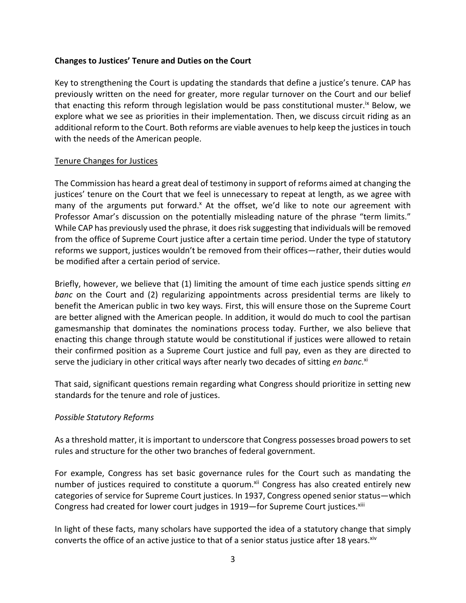## **Changes to Justices' Tenure and Duties on the Court**

Key to strengthening the Court is updating the standards that define a justice's tenure. CAP has previously written on the need for greater, more regular turnover on the Court and our belief that enacting this reform through legislation would be pass constitutional muster.<sup>ix</sup> Below, we explore what we see as priorities in their implementation. Then, we discuss circuit riding as an additional reform to the Court. Both reforms are viable avenues to help keep the justices in touch with the needs of the American people.

## Tenure Changes for Justices

The Commission has heard a great deal of testimony in support of reforms aimed at changing the justices' tenure on the Court that we feel is unnecessary to repeat at length, as we agree with many of the arguments put forward.<sup>x</sup> At the offset, we'd like to note our agreement with Professor Amar's discussion on the potentially misleading nature of the phrase "term limits." While CAP has previously used the phrase, it does risk suggesting that individuals will be removed from the office of Supreme Court justice after a certain time period. Under the type of statutory reforms we support, justices wouldn't be removed from their offices—rather, their duties would be modified after a certain period of service.

Briefly, however, we believe that (1) limiting the amount of time each justice spends sitting *en banc* on the Court and (2) regularizing appointments across presidential terms are likely to benefit the American public in two key ways. First, this will ensure those on the Supreme Court are better aligned with the American people. In addition, it would do much to cool the partisan gamesmanship that dominates the nominations process today. Further, we also believe that enacting this change through statute would be constitutional if justices were allowed to retain their confirmed position as a Supreme Court justice and full pay, even as they are directed to serve the judiciary in other critical ways after nearly two decades of sitting *en banc*. xi

That said, significant questions remain regarding what Congress should prioritize in setting new standards for the tenure and role of justices.

## *Possible Statutory Reforms*

As a threshold matter, it is important to underscore that Congress possesses broad powers to set rules and structure for the other two branches of federal government.

For example, Congress has set basic governance rules for the Court such as mandating the number of justices required to constitute a quorum.<sup>xii</sup> Congress has also created entirely new categories of service for Supreme Court justices. In 1937, Congress opened senior status—which Congress had created for lower court judges in 1919—for Supreme Court justices.<sup>xiii</sup>

In light of these facts, many scholars have supported the idea of a statutory change that simply converts the office of an active justice to that of a senior status justice after 18 years.<sup>xiv</sup>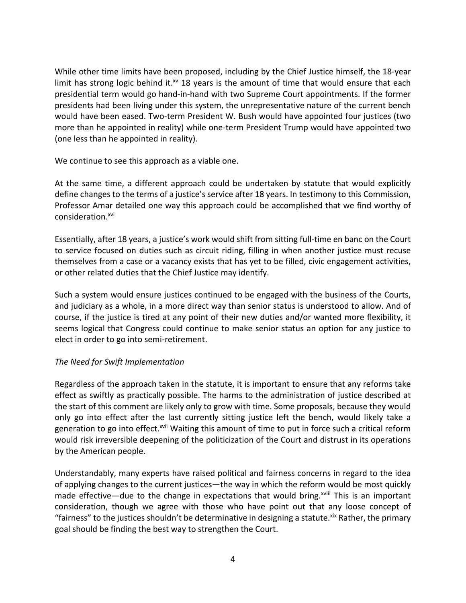While other time limits have been proposed, including by the Chief Justice himself, the 18-year limit has strong logic behind it. $^{x}$  18 years is the amount of time that would ensure that each presidential term would go hand-in-hand with two Supreme Court appointments. If the former presidents had been living under this system, the unrepresentative nature of the current bench would have been eased. Two-term President W. Bush would have appointed four justices (two more than he appointed in reality) while one-term President Trump would have appointed two (one less than he appointed in reality).

We continue to see this approach as a viable one.

At the same time, a different approach could be undertaken by statute that would explicitly define changes to the terms of a justice's service after 18 years. In testimony to this Commission, Professor Amar detailed one way this approach could be accomplished that we find worthy of consideration.<sup>xvi</sup>

Essentially, after 18 years, a justice's work would shift from sitting full-time en banc on the Court to service focused on duties such as circuit riding, filling in when another justice must recuse themselves from a case or a vacancy exists that has yet to be filled, civic engagement activities, or other related duties that the Chief Justice may identify.

Such a system would ensure justices continued to be engaged with the business of the Courts, and judiciary as a whole, in a more direct way than senior status is understood to allow. And of course, if the justice is tired at any point of their new duties and/or wanted more flexibility, it seems logical that Congress could continue to make senior status an option for any justice to elect in order to go into semi-retirement.

# *The Need for Swift Implementation*

Regardless of the approach taken in the statute, it is important to ensure that any reforms take effect as swiftly as practically possible. The harms to the administration of justice described at the start of this comment are likely only to grow with time. Some proposals, because they would only go into effect after the last currently sitting justice left the bench, would likely take a generation to go into effect.<sup>xvii</sup> Waiting this amount of time to put in force such a critical reform would risk irreversible deepening of the politicization of the Court and distrust in its operations by the American people.

Understandably, many experts have raised political and fairness concerns in regard to the idea of applying changes to the current justices—the way in which the reform would be most quickly made effective—due to the change in expectations that would bring.<sup>xviii</sup> This is an important consideration, though we agree with those who have point out that any loose concept of "fairness" to the justices shouldn't be determinative in designing a statute. $x^i$  Rather, the primary goal should be finding the best way to strengthen the Court.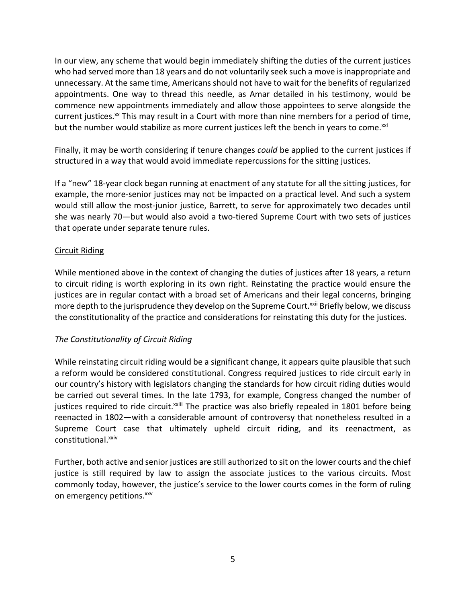In our view, any scheme that would begin immediately shifting the duties of the current justices who had served more than 18 years and do not voluntarily seek such a move is inappropriate and unnecessary. At the same time, Americans should not have to wait for the benefits of regularized appointments. One way to thread this needle, as Amar detailed in his testimony, would be commence new appointments immediately and allow those appointees to serve alongside the current justices.<sup>xx</sup> This may result in a Court with more than nine members for a period of time, but the number would stabilize as more current justices left the bench in years to come.<sup>xxi</sup>

Finally, it may be worth considering if tenure changes *could* be applied to the current justices if structured in a way that would avoid immediate repercussions for the sitting justices.

If a "new" 18-year clock began running at enactment of any statute for all the sitting justices, for example, the more-senior justices may not be impacted on a practical level. And such a system would still allow the most-junior justice, Barrett, to serve for approximately two decades until she was nearly 70—but would also avoid a two-tiered Supreme Court with two sets of justices that operate under separate tenure rules.

# Circuit Riding

While mentioned above in the context of changing the duties of justices after 18 years, a return to circuit riding is worth exploring in its own right. Reinstating the practice would ensure the justices are in regular contact with a broad set of Americans and their legal concerns, bringing more depth to the jurisprudence they develop on the Supreme Court.<sup>xxii</sup> Briefly below, we discuss the constitutionality of the practice and considerations for reinstating this duty for the justices.

# *The Constitutionality of Circuit Riding*

While reinstating circuit riding would be a significant change, it appears quite plausible that such a reform would be considered constitutional. Congress required justices to ride circuit early in our country's history with legislators changing the standards for how circuit riding duties would be carried out several times. In the late 1793, for example, Congress changed the number of justices required to ride circuit.<sup>xxiii</sup> The practice was also briefly repealed in 1801 before being reenacted in 1802—with a considerable amount of controversy that nonetheless resulted in a Supreme Court case that ultimately upheld circuit riding, and its reenactment, as constitutional.<sup>xxiv</sup>

Further, both active and senior justices are still authorized to sit on the lower courts and the chief justice is still required by law to assign the associate justices to the various circuits. Most commonly today, however, the justice's service to the lower courts comes in the form of ruling on emergency petitions.<sup>xxv</sup>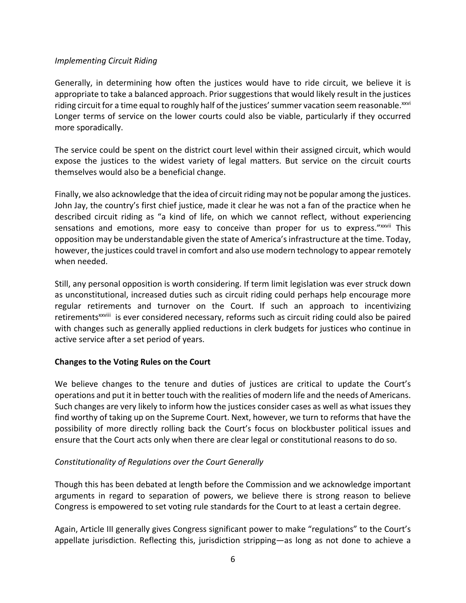## *Implementing Circuit Riding*

Generally, in determining how often the justices would have to ride circuit, we believe it is appropriate to take a balanced approach. Prior suggestions that would likely result in the justices riding circuit for a time equal to roughly half of the justices' summer vacation seem reasonable. $^{xxvi}$ Longer terms of service on the lower courts could also be viable, particularly if they occurred more sporadically.

The service could be spent on the district court level within their assigned circuit, which would expose the justices to the widest variety of legal matters. But service on the circuit courts themselves would also be a beneficial change.

Finally, we also acknowledge that the idea of circuit riding may not be popular among the justices. John Jay, the country's first chief justice, made it clear he was not a fan of the practice when he described circuit riding as "a kind of life, on which we cannot reflect, without experiencing sensations and emotions, more easy to conceive than proper for us to express." XXVII This opposition may be understandable given the state of America's infrastructure at the time. Today, however, the justices could travel in comfort and also use modern technology to appear remotely when needed.

Still, any personal opposition is worth considering. If term limit legislation was ever struck down as unconstitutional, increased duties such as circuit riding could perhaps help encourage more regular retirements and turnover on the Court. If such an approach to incentivizing retirements<sup>xxviii</sup> is ever considered necessary, reforms such as circuit riding could also be paired with changes such as generally applied reductions in clerk budgets for justices who continue in active service after a set period of years.

# **Changes to the Voting Rules on the Court**

We believe changes to the tenure and duties of justices are critical to update the Court's operations and put it in better touch with the realities of modern life and the needs of Americans. Such changes are very likely to inform how the justices consider cases as well as what issues they find worthy of taking up on the Supreme Court. Next, however, we turn to reforms that have the possibility of more directly rolling back the Court's focus on blockbuster political issues and ensure that the Court acts only when there are clear legal or constitutional reasons to do so.

# *Constitutionality of Regulations over the Court Generally*

Though this has been debated at length before the Commission and we acknowledge important arguments in regard to separation of powers, we believe there is strong reason to believe Congress is empowered to set voting rule standards for the Court to at least a certain degree.

Again, Article III generally gives Congress significant power to make "regulations" to the Court's appellate jurisdiction. Reflecting this, jurisdiction stripping—as long as not done to achieve a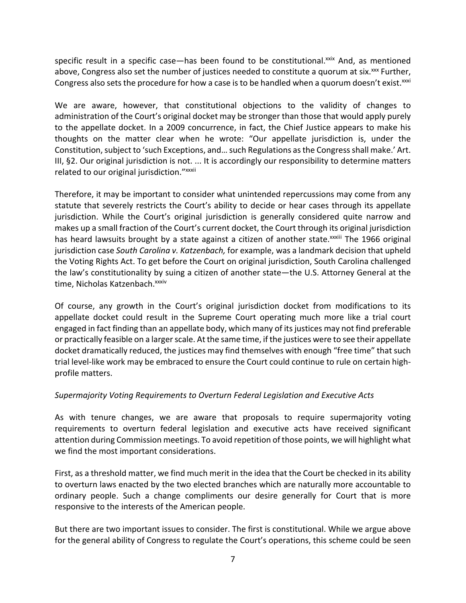specific result in a specific case—has been found to be constitutional. $x$ ix And, as mentioned above, Congress also set the number of justices needed to constitute a quorum at six. $\frac{x}{x}$  Further, Congress also sets the procedure for how a case is to be handled when a quorum doesn't exist. $^{xxxi}$ 

We are aware, however, that constitutional objections to the validity of changes to administration of the Court's original docket may be stronger than those that would apply purely to the appellate docket. In a 2009 concurrence, in fact, the Chief Justice appears to make his thoughts on the matter clear when he wrote: "Our appellate jurisdiction is, under the Constitution, subject to 'such Exceptions, and… such Regulations as the Congress shall make.' Art. III, §2. Our original jurisdiction is not. ... It is accordingly our responsibility to determine matters related to our original jurisdiction." xxxii

Therefore, it may be important to consider what unintended repercussions may come from any statute that severely restricts the Court's ability to decide or hear cases through its appellate jurisdiction. While the Court's original jurisdiction is generally considered quite narrow and makes up a small fraction of the Court's current docket, the Court through its original jurisdiction has heard lawsuits brought by a state against a citizen of another state.<sup>xxxiii</sup> The 1966 original jurisdiction case *South Carolina v. Katzenbach,* for example, was a landmark decision that upheld the Voting Rights Act. To get before the Court on original jurisdiction, South Carolina challenged the law's constitutionality by suing a citizen of another state—the U.S. Attorney General at the time, Nicholas Katzenbach.<sup>xxxiv</sup>

Of course, any growth in the Court's original jurisdiction docket from modifications to its appellate docket could result in the Supreme Court operating much more like a trial court engaged in fact finding than an appellate body, which many of its justices may not find preferable or practically feasible on a larger scale. At the same time, if the justices were to see their appellate docket dramatically reduced, the justices may find themselves with enough "free time" that such trial level-like work may be embraced to ensure the Court could continue to rule on certain highprofile matters.

# *Supermajority Voting Requirements to Overturn Federal Legislation and Executive Acts*

As with tenure changes, we are aware that proposals to require supermajority voting requirements to overturn federal legislation and executive acts have received significant attention during Commission meetings. To avoid repetition of those points, we will highlight what we find the most important considerations.

First, as a threshold matter, we find much merit in the idea that the Court be checked in its ability to overturn laws enacted by the two elected branches which are naturally more accountable to ordinary people. Such a change compliments our desire generally for Court that is more responsive to the interests of the American people.

But there are two important issues to consider. The first is constitutional. While we argue above for the general ability of Congress to regulate the Court's operations, this scheme could be seen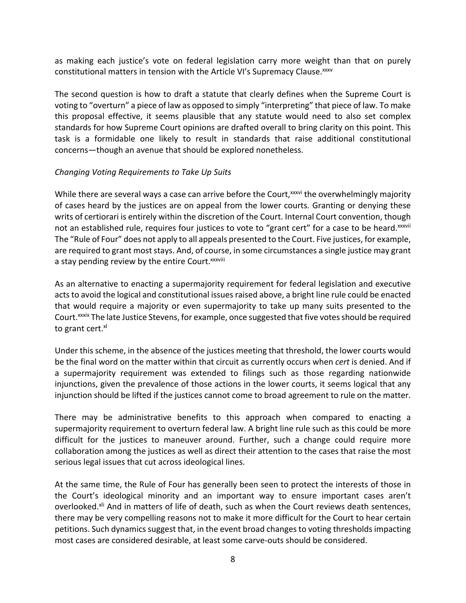as making each justice's vote on federal legislation carry more weight than that on purely constitutional matters in tension with the Article VI's Supremacy Clause. XXXV

The second question is how to draft a statute that clearly defines when the Supreme Court is voting to "overturn" a piece of law as opposed to simply "interpreting" that piece of law. To make this proposal effective, it seems plausible that any statute would need to also set complex standards for how Supreme Court opinions are drafted overall to bring clarity on this point. This task is a formidable one likely to result in standards that raise additional constitutional concerns—though an avenue that should be explored nonetheless.

## *Changing Voting Requirements to Take Up Suits*

While there are several ways a case can arrive before the Court, xxxvi the overwhelmingly majority of cases heard by the justices are on appeal from the lower courts. Granting or denying these writs of certiorari is entirely within the discretion of the Court. Internal Court convention, though not an established rule, requires four justices to vote to "grant cert" for a case to be heard.xxxvii The "Rule of Four" does not apply to all appeals presented to the Court. Five justices, for example, are required to grant most stays. And, of course, in some circumstances a single justice may grant a stay pending review by the entire Court. XXXVIII

As an alternative to enacting a supermajority requirement for federal legislation and executive acts to avoid the logical and constitutional issues raised above, a bright line rule could be enacted that would require a majority or even supermajority to take up many suits presented to the Court.xxxix The late Justice Stevens, for example, once suggested that five votes should be required to grant cert.<sup>xl</sup>

Under this scheme, in the absence of the justices meeting that threshold, the lower courts would be the final word on the matter within that circuit as currently occurs when *cert* is denied. And if a supermajority requirement was extended to filings such as those regarding nationwide injunctions, given the prevalence of those actions in the lower courts, it seems logical that any injunction should be lifted if the justices cannot come to broad agreement to rule on the matter.

There may be administrative benefits to this approach when compared to enacting a supermajority requirement to overturn federal law. A bright line rule such as this could be more difficult for the justices to maneuver around. Further, such a change could require more collaboration among the justices as well as direct their attention to the cases that raise the most serious legal issues that cut across ideological lines.

At the same time, the Rule of Four has generally been seen to protect the interests of those in the Court's ideological minority and an important way to ensure important cases aren't overlooked.<sup>xli</sup> And in matters of life of death, such as when the Court reviews death sentences, there may be very compelling reasons not to make it more difficult for the Court to hear certain petitions. Such dynamics suggest that, in the event broad changes to voting thresholds impacting most cases are considered desirable, at least some carve-outs should be considered.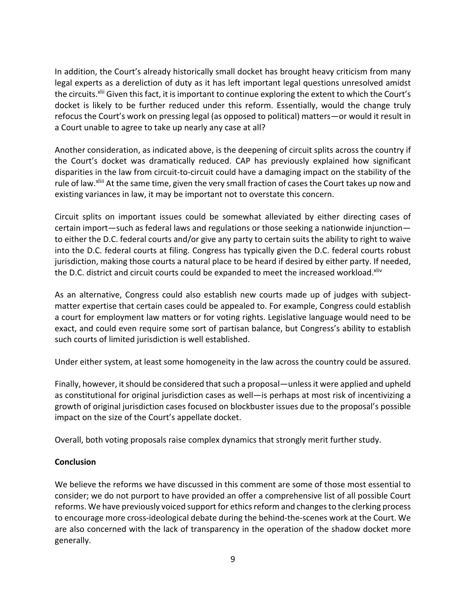In addition, the Court's already historically small docket has brought heavy criticism from many legal experts as a dereliction of duty as it has left important legal questions unresolved amidst the circuits.<sup>xlii</sup> Given this fact, it is important to continue exploring the extent to which the Court's docket is likely to be further reduced under this reform. Essentially, would the change truly refocus the Court's work on pressing legal (as opposed to political) matters—or would it result in a Court unable to agree to take up nearly any case at all?

Another consideration, as indicated above, is the deepening of circuit splits across the country if the Court's docket was dramatically reduced. CAP has previously explained how significant disparities in the law from circuit-to-circuit could have a damaging impact on the stability of the rule of law.<sup>xlii</sup> At the same time, given the very small fraction of cases the Court takes up now and existing variances in law, it may be important not to overstate this concern.

Circuit splits on important issues could be somewhat alleviated by either directing cases of certain import—such as federal laws and regulations or those seeking a nationwide injunction to either the D.C. federal courts and/or give any party to certain suits the ability to right to waive into the D.C. federal courts at filing. Congress has typically given the D.C. federal courts robust jurisdiction, making those courts a natural place to be heard if desired by either party. If needed, the D.C. district and circuit courts could be expanded to meet the increased workload.<sup>xliv</sup>

As an alternative, Congress could also establish new courts made up of judges with subjectmatter expertise that certain cases could be appealed to. For example, Congress could establish a court for employment law matters or for voting rights. Legislative language would need to be exact, and could even require some sort of partisan balance, but Congress's ability to establish such courts of limited jurisdiction is well established.

Under either system, at least some homogeneity in the law across the country could be assured.

Finally, however, it should be considered that such a proposal—unless it were applied and upheld as constitutional for original jurisdiction cases as well—is perhaps at most risk of incentivizing a growth of original jurisdiction cases focused on blockbuster issues due to the proposal's possible impact on the size of the Court's appellate docket.

Overall, both voting proposals raise complex dynamics that strongly merit further study.

## **Conclusion**

We believe the reforms we have discussed in this comment are some of those most essential to consider; we do not purport to have provided an offer a comprehensive list of all possible Court reforms. We have previously voiced support for ethics reform and changes to the clerking process to encourage more cross-ideological debate during the behind-the-scenes work at the Court. We are also concerned with the lack of transparency in the operation of the shadow docket more generally.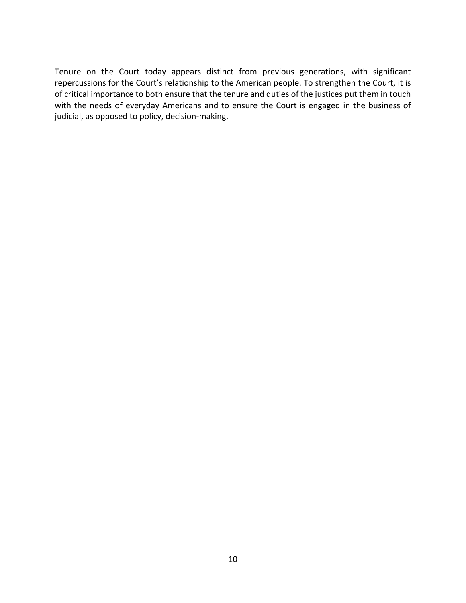Tenure on the Court today appears distinct from previous generations, with significant repercussions for the Court's relationship to the American people. To strengthen the Court, it is of critical importance to both ensure that the tenure and duties of the justices put them in touch with the needs of everyday Americans and to ensure the Court is engaged in the business of judicial, as opposed to policy, decision-making.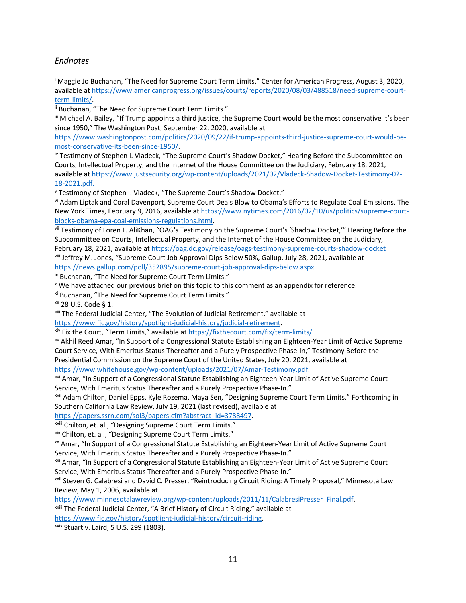#### *Endnotes*

<sup>i</sup> Maggie Jo Buchanan, "The Need for Supreme Court Term Limits," Center for American Progress, August 3, 2020, available at https://www.americanprogress.org/issues/courts/reports/2020/08/03/488518/need-supreme-court-

term-limits/.<br>ii Buchanan, "The Need for Supreme Court Term Limits."

iii Michael A. Bailey, "If Trump appoints a third justice, the Supreme Court would be the most conservative it's been since 1950," The Washington Post, September 22, 2020, available at

https://www.washingtonpost.com/politics/2020/09/22/if-trump-appoints-third-justice-supreme-court-would-bemost-conservative-its-been-since-1950/.<br>iv Testimony of Stephen I. Vladeck, "The Supreme Court's Shadow Docket," Hearing Before the Subcommittee on

Courts, Intellectual Property, and the Internet of the House Committee on the Judiciary, February 18, 2021, available at https://www.justsecurity.org/wp-content/uploads/2021/02/Vladeck-Shadow-Docket-Testimony-02-

18-2021.pdf.<br>
v Testimony of Stephen I. Vladeck, "The Supreme Court's Shadow Docket."

vi Adam Liptak and Coral Davenport, Supreme Court Deals Blow to Obama's Efforts to Regulate Coal Emissions, The New York Times, February 9, 2016, available at https://www.nytimes.com/2016/02/10/us/politics/supreme-court-

blocks-obama-epa-coal-emissions-regulations.html.<br>vii Testimony of Loren L. AliKhan, "OAG's Testimony on the Supreme Court's 'Shadow Docket,'" Hearing Before the Subcommittee on Courts, Intellectual Property, and the Internet of the House Committee on the Judiciary,

February 18, 2021, available at https://oag.dc.gov/release/oags-testimony-supreme-courts-shadow-docket viii Jeffrey M. Jones, "Supreme Court Job Approval Dips Below 50%, Gallup, July 28, 2021, available at https://news.gallup.com/poll/352895/supreme-court-job-approval-dips-below.aspx.<br>
Example 19 Nuchanan, "The Need for Supreme Court Term Limits."<br>
X We have attached our previous brief on this topic to this comment as an app

xi Buchanan, "The Need for Supreme Court Term Limits."

<sup>xii</sup> 28 U.S. Code § 1.<br><sup>xiii</sup> The Federal Judicial Center, "The Evolution of Judicial Retirement," available at

https://www.fjc.gov/history/spotlight-judicial-history/judicial-retirement.<br>
<sup>xiv</sup> Fix the Court, "Term Limits," available at https://fixthecourt.com/fix/term-limits/.<br>
<sup>xv</sup> Akhil Reed Amar, "In Support of a Congressional Court Service, With Emeritus Status Thereafter and a Purely Prospective Phase-In," Testimony Before the Presidential Commission on the Supreme Court of the United States, July 20, 2021, available at

https://www.whitehouse.gov/wp-content/uploads/2021/07/Amar-Testimony.pdf.<br><sup>xvi</sup> Amar, "In Support of a Congressional Statute Establishing an Eighteen-Year Limit of Active Supreme Court Service, With Emeritus Status Thereafter and a Purely Prospective Phase-In."

xvii Adam Chilton, Daniel Epps, Kyle Rozema, Maya Sen, "Designing Supreme Court Term Limits," Forthcoming in Southern California Law Review, July 19, 2021 (last revised), available at

https://papers.ssrn.com/sol3/papers.cfm?abstract\_id=3788497.<br><sup>xviii</sup> Chilton, et. al., "Designing Supreme Court Term Limits."

xix Chilton, et. al., "Designing Supreme Court Term Limits."

xx Amar, "In Support of a Congressional Statute Establishing an Eighteen-Year Limit of Active Supreme Court Service, With Emeritus Status Thereafter and a Purely Prospective Phase-In."

xxi Amar, "In Support of a Congressional Statute Establishing an Eighteen-Year Limit of Active Supreme Court Service, With Emeritus Status Thereafter and a Purely Prospective Phase-In."

xxii Steven G. Calabresi and David C. Presser, "Reintroducing Circuit Riding: A Timely Proposal," Minnesota Law Review, May 1, 2006, available at

https://www.minnesotalawreview.org/wp-content/uploads/2011/11/CalabresiPresser\_Final.pdf. xxiii The Federal Judicial Center, "A Brief History of Circuit Riding," available at

https://www.fjc.gov/history/spotlight-judicial-history/circuit-riding.<br>xxiv Stuart v. Laird, 5 U.S. 299 (1803).